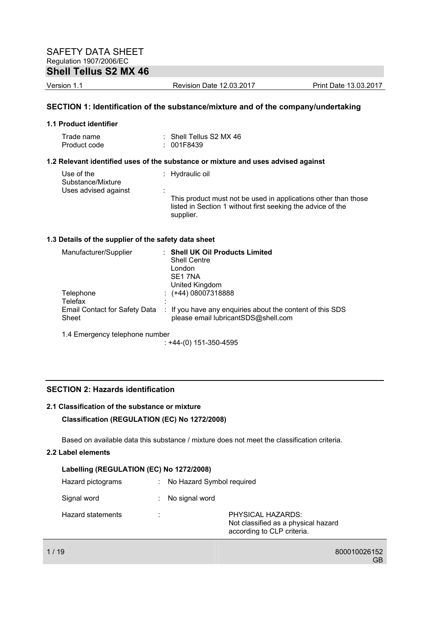# **Shell Tellus S2 MX 46**

Version 1.1 Revision Date 12.03.2017 Print Date 13.03.2017

## **SECTION 1: Identification of the substance/mixture and of the company/undertaking**

#### **1.1 Product identifier**

| Trade name   | $\therefore$ Shell Tellus S2 MX 46 |
|--------------|------------------------------------|
| Product code | : 001F8439                         |

### **1.2 Relevant identified uses of the substance or mixture and uses advised against**

| Use of the<br>Substance/Mixture | : Hydraulic oil                                                                                                                            |
|---------------------------------|--------------------------------------------------------------------------------------------------------------------------------------------|
| Uses advised against            |                                                                                                                                            |
|                                 | This product must not be used in applications other than those<br>listed in Section 1 without first seeking the advice of the<br>supplier. |

### **1.3 Details of the supplier of the safety data sheet**

| Manufacturer/Supplier                  | <b>Shell UK Oil Products Limited</b><br><b>Shell Centre</b><br>London<br>SE <sub>1</sub> 7NA     |
|----------------------------------------|--------------------------------------------------------------------------------------------------|
|                                        | United Kingdom                                                                                   |
| Telephone                              | $\div$ (+44) 08007318888                                                                         |
| Telefax                                |                                                                                                  |
| Email Contact for Safety Data<br>Sheet | : If you have any enquiries about the content of this SDS<br>please email lubricantSDS@shell.com |
| 1.4 Emergency telephone number         |                                                                                                  |

: +44-(0) 151-350-4595

## **SECTION 2: Hazards identification**

## **2.1 Classification of the substance or mixture**

#### **Classification (REGULATION (EC) No 1272/2008)**

Based on available data this substance / mixture does not meet the classification criteria.

## **2.2 Label elements**

| Labelling (REGULATION (EC) No 1272/2008) |   |                             |                                                                                        |  |
|------------------------------------------|---|-----------------------------|----------------------------------------------------------------------------------------|--|
| Hazard pictograms                        |   | : No Hazard Symbol required |                                                                                        |  |
| Signal word                              |   | No signal word              |                                                                                        |  |
| Hazard statements                        | ٠ |                             | PHYSICAL HAZARDS:<br>Not classified as a physical hazard<br>according to CLP criteria. |  |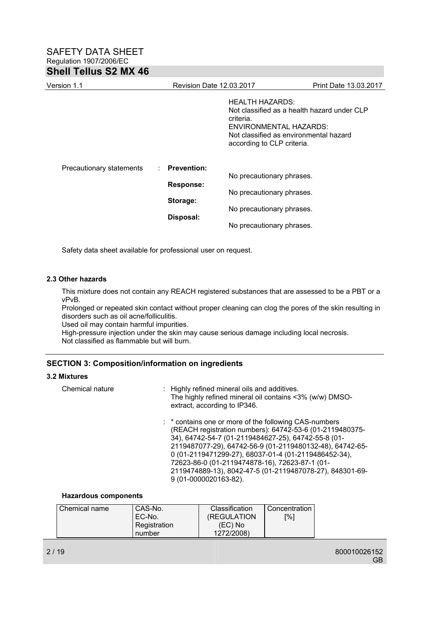| Version 1.1              |                           | <b>Revision Date 12.03.2017</b><br><b>Print Date 13.03.2017</b>                                                                                                                      |  |
|--------------------------|---------------------------|--------------------------------------------------------------------------------------------------------------------------------------------------------------------------------------|--|
|                          |                           | <b>HEALTH HAZARDS:</b><br>Not classified as a health hazard under CLP<br>criteria.<br>ENVIRONMENTAL HAZARDS:<br>Not classified as environmental hazard<br>according to CLP criteria. |  |
| Precautionary statements | : Prevention:             |                                                                                                                                                                                      |  |
|                          | <b>Response:</b>          | No precautionary phrases.                                                                                                                                                            |  |
|                          | Storage:                  | No precautionary phrases.                                                                                                                                                            |  |
|                          | No precautionary phrases. |                                                                                                                                                                                      |  |
|                          | Disposal:                 | No precautionary phrases.                                                                                                                                                            |  |

Safety data sheet available for professional user on request.

### **2.3 Other hazards**

This mixture does not contain any REACH registered substances that are assessed to be a PBT or a vPvB.

Prolonged or repeated skin contact without proper cleaning can clog the pores of the skin resulting in disorders such as oil acne/folliculitis.

Used oil may contain harmful impurities.

High-pressure injection under the skin may cause serious damage including local necrosis. Not classified as flammable but will burn.

### **SECTION 3: Composition/information on ingredients**

### **3.2 Mixtures**

| Chemical nature | : Highly refined mineral oils and additives.<br>The highly refined mineral oil contains <3% (w/w) DMSO-<br>extract, according to IP346.                                                                                                                                                                                                                                                                                             |
|-----------------|-------------------------------------------------------------------------------------------------------------------------------------------------------------------------------------------------------------------------------------------------------------------------------------------------------------------------------------------------------------------------------------------------------------------------------------|
|                 | : * contains one or more of the following CAS-numbers<br>(REACH registration numbers): 64742-53-6 (01-2119480375-<br>34), 64742-54-7 (01-2119484627-25), 64742-55-8 (01-<br>2119487077-29), 64742-56-9 (01-2119480132-48), 64742-65-<br>0 (01-2119471299-27), 68037-01-4 (01-2119486452-34),<br>72623-86-0 (01-2119474878-16), 72623-87-1 (01-<br>2119474889-13), 8042-47-5 (01-2119487078-27), 848301-69-<br>9 (01-0000020163-82). |

### **Hazardous components**

| Chemical name | CAS-No.      | Classification | Concentration |
|---------------|--------------|----------------|---------------|
|               | EC-No.       | (REGULATION)   | [%]           |
|               | Registration | (EC) No        |               |
|               | number       | 1272/2008)     |               |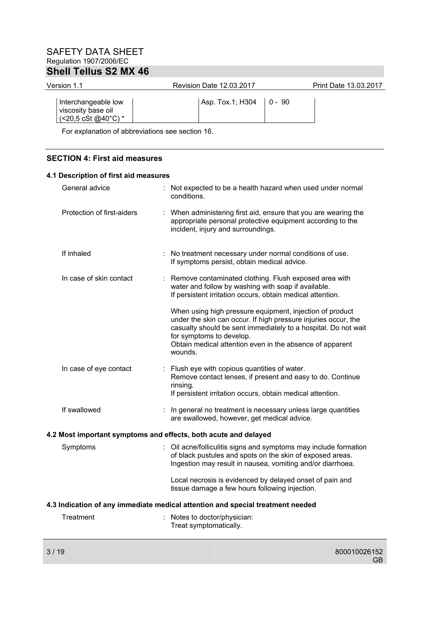| Version 1.1                                                                      | <b>Revision Date 12.03.2017</b>                                                                                                                                     | Print Date 13.03.2017 |  |  |  |
|----------------------------------------------------------------------------------|---------------------------------------------------------------------------------------------------------------------------------------------------------------------|-----------------------|--|--|--|
| Interchangeable low<br>viscosity base oil<br>$($ <20,5 cSt @40 $^{\circ}$ C) $*$ | Asp. Tox.1; H304<br>$0 - 90$                                                                                                                                        |                       |  |  |  |
| For explanation of abbreviations see section 16.                                 |                                                                                                                                                                     |                       |  |  |  |
|                                                                                  |                                                                                                                                                                     |                       |  |  |  |
|                                                                                  | <b>SECTION 4: First aid measures</b>                                                                                                                                |                       |  |  |  |
| 4.1 Description of first aid measures                                            |                                                                                                                                                                     |                       |  |  |  |
| General advice                                                                   | Not expected to be a health hazard when used under normal<br>conditions.                                                                                            |                       |  |  |  |
| Protection of first-aiders                                                       | : When administering first aid, ensure that you are wearing the<br>appropriate personal protective equipment according to the<br>incident, injury and surroundings. |                       |  |  |  |

If inhaled : No treatment necessary under normal conditions of use. If symptoms persist, obtain medical advice.

In case of skin contact : Remove contaminated clothing. Flush exposed area with water and follow by washing with soap if available. If persistent irritation occurs, obtain medical attention. When using high pressure equipment, injection of product under the skin can occur. If high pressure injuries occur, the casualty should be sent immediately to a hospital. Do not wait for symptoms to develop. Obtain medical attention even in the absence of apparent wounds. In case of eye contact : Flush eye with copious quantities of water. Remove contact lenses, if present and easy to do. Continue rinsing.

If persistent irritation occurs, obtain medical attention.

If swallowed : In general no treatment is necessary unless large quantities are swallowed, however, get medical advice.

### **4.2 Most important symptoms and effects, both acute and delayed**

Symptoms : Oil acne/folliculitis signs and symptoms may include formation of black pustules and spots on the skin of exposed areas. Ingestion may result in nausea, vomiting and/or diarrhoea.

> Local necrosis is evidenced by delayed onset of pain and tissue damage a few hours following injection.

#### **4.3 Indication of any immediate medical attention and special treatment needed**

| Treatment | : Notes to doctor/physician: |
|-----------|------------------------------|
|           | Treat symptomatically.       |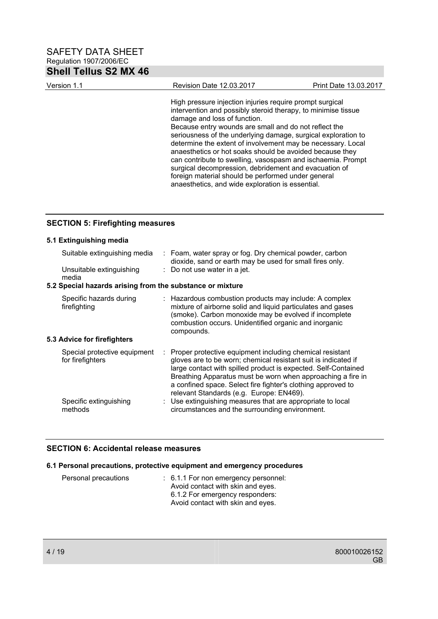| Version 1.1 | Revision Date 12.03.2017                                                                                                                                                                                                                                                                                                                                                                                                                                                                                                                                                                                                                         | Print Date 13.03.2017 |
|-------------|--------------------------------------------------------------------------------------------------------------------------------------------------------------------------------------------------------------------------------------------------------------------------------------------------------------------------------------------------------------------------------------------------------------------------------------------------------------------------------------------------------------------------------------------------------------------------------------------------------------------------------------------------|-----------------------|
|             | High pressure injection injuries require prompt surgical<br>intervention and possibly steroid therapy, to minimise tissue<br>damage and loss of function.<br>Because entry wounds are small and do not reflect the<br>seriousness of the underlying damage, surgical exploration to<br>determine the extent of involvement may be necessary. Local<br>anaesthetics or hot soaks should be avoided because they<br>can contribute to swelling, vasospasm and ischaemia. Prompt<br>surgical decompression, debridement and evacuation of<br>foreign material should be performed under general<br>anaesthetics, and wide exploration is essential. |                       |

## **SECTION 5: Firefighting measures**

| 5.1 Extinguishing media                                   |                                                                                                                                                                                                                                                                                                                                                                         |
|-----------------------------------------------------------|-------------------------------------------------------------------------------------------------------------------------------------------------------------------------------------------------------------------------------------------------------------------------------------------------------------------------------------------------------------------------|
| Suitable extinguishing media                              | : Foam, water spray or fog. Dry chemical powder, carbon<br>dioxide, sand or earth may be used for small fires only.                                                                                                                                                                                                                                                     |
| Unsuitable extinguishing<br>media                         | : Do not use water in a jet.                                                                                                                                                                                                                                                                                                                                            |
| 5.2 Special hazards arising from the substance or mixture |                                                                                                                                                                                                                                                                                                                                                                         |
| Specific hazards during<br>firefighting                   | : Hazardous combustion products may include: A complex<br>mixture of airborne solid and liquid particulates and gases<br>(smoke). Carbon monoxide may be evolved if incomplete<br>combustion occurs. Unidentified organic and inorganic<br>compounds.                                                                                                                   |
| 5.3 Advice for firefighters                               |                                                                                                                                                                                                                                                                                                                                                                         |
| Special protective equipment<br>for firefighters          | Proper protective equipment including chemical resistant<br>gloves are to be worn; chemical resistant suit is indicated if<br>large contact with spilled product is expected. Self-Contained<br>Breathing Apparatus must be worn when approaching a fire in<br>a confined space. Select fire fighter's clothing approved to<br>relevant Standards (e.g. Europe: EN469). |
| Specific extinguishing<br>methods                         | : Use extinguishing measures that are appropriate to local<br>circumstances and the surrounding environment.                                                                                                                                                                                                                                                            |

## **SECTION 6: Accidental release measures**

## **6.1 Personal precautions, protective equipment and emergency procedures**

| Personal precautions | $\therefore$ 6.1.1 For non emergency personnel: |
|----------------------|-------------------------------------------------|
|                      | Avoid contact with skin and eyes.               |
|                      | 6.1.2 For emergency responders:                 |
|                      | Avoid contact with skin and eyes.               |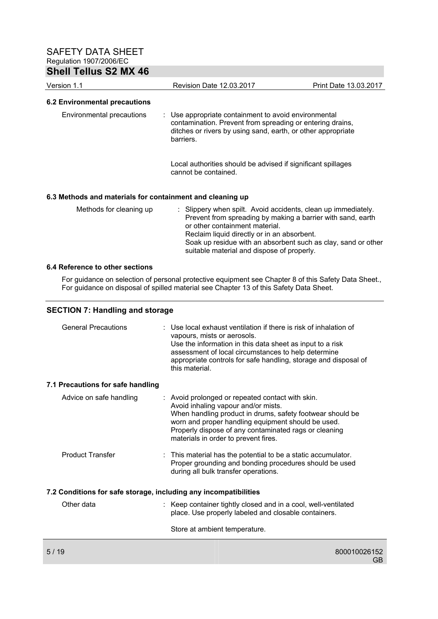| <b>Shell Tellus S2 MX 46</b>         |                                                                                                                                                                                                           |                       |
|--------------------------------------|-----------------------------------------------------------------------------------------------------------------------------------------------------------------------------------------------------------|-----------------------|
| Version 1.1                          | <b>Revision Date 12.03.2017</b>                                                                                                                                                                           | Print Date 13.03.2017 |
| <b>6.2 Environmental precautions</b> |                                                                                                                                                                                                           |                       |
| Environmental precautions            | $\therefore$ Use appropriate containment to avoid environmental<br>contamination. Prevent from spreading or entering drains,<br>ditches or rivers by using sand, earth, or other appropriate<br>barriers. |                       |
|                                      | Local authorities should be advised if significant spillages<br>cannot be contained.                                                                                                                      |                       |

## **6.3 Methods and materials for containment and cleaning up**

| Methods for cleaning up | : Slippery when spilt. Avoid accidents, clean up immediately. |
|-------------------------|---------------------------------------------------------------|
|                         | Prevent from spreading by making a barrier with sand, earth   |
|                         | or other containment material.                                |
|                         | Reclaim liquid directly or in an absorbent.                   |
|                         | Soak up residue with an absorbent such as clay, sand or other |
|                         | suitable material and dispose of properly.                    |

### **6.4 Reference to other sections**

For guidance on selection of personal protective equipment see Chapter 8 of this Safety Data Sheet., For guidance on disposal of spilled material see Chapter 13 of this Safety Data Sheet.

## **SECTION 7: Handling and storage**

| <b>General Precautions</b>                                       | $\therefore$ Use local exhaust ventilation if there is risk of inhalation of<br>vapours, mists or aerosols.<br>Use the information in this data sheet as input to a risk<br>assessment of local circumstances to help determine<br>appropriate controls for safe handling, storage and disposal of<br>this material. |
|------------------------------------------------------------------|----------------------------------------------------------------------------------------------------------------------------------------------------------------------------------------------------------------------------------------------------------------------------------------------------------------------|
| 7.1 Precautions for safe handling                                |                                                                                                                                                                                                                                                                                                                      |
| Advice on safe handling                                          | : Avoid prolonged or repeated contact with skin.<br>Avoid inhaling vapour and/or mists.<br>When handling product in drums, safety footwear should be<br>worn and proper handling equipment should be used.<br>Properly dispose of any contaminated rags or cleaning<br>materials in order to prevent fires.          |
| <b>Product Transfer</b>                                          | $\therefore$ This material has the potential to be a static accumulator.<br>Proper grounding and bonding procedures should be used<br>during all bulk transfer operations.                                                                                                                                           |
| 7.2 Conditions for safe storage, including any incompatibilities |                                                                                                                                                                                                                                                                                                                      |
| Other data                                                       | : Keep container tightly closed and in a cool, well-ventilated<br>place. Use properly labeled and closable containers.                                                                                                                                                                                               |
|                                                                  | Store at ambient temperature.                                                                                                                                                                                                                                                                                        |
| 5/19                                                             | 800010026152                                                                                                                                                                                                                                                                                                         |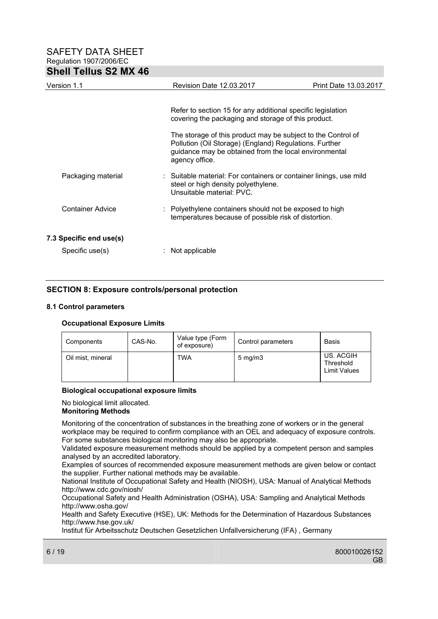| Version 1.1             | <b>Revision Date 12.03.2017</b>                                                                                                                                                                   | Print Date 13.03.2017 |  |
|-------------------------|---------------------------------------------------------------------------------------------------------------------------------------------------------------------------------------------------|-----------------------|--|
|                         |                                                                                                                                                                                                   |                       |  |
|                         | Refer to section 15 for any additional specific legislation<br>covering the packaging and storage of this product.                                                                                |                       |  |
|                         | The storage of this product may be subject to the Control of<br>Pollution (Oil Storage) (England) Regulations. Further<br>guidance may be obtained from the local environmental<br>agency office. |                       |  |
| Packaging material      | : Suitable material: For containers or container linings, use mild<br>steel or high density polyethylene.<br>Unsuitable material: PVC.                                                            |                       |  |
| Container Advice        | : Polyethylene containers should not be exposed to high<br>temperatures because of possible risk of distortion.                                                                                   |                       |  |
| 7.3 Specific end use(s) |                                                                                                                                                                                                   |                       |  |
| Specific use(s)         | Not applicable                                                                                                                                                                                    |                       |  |

## **SECTION 8: Exposure controls/personal protection**

### **8.1 Control parameters**

### **Occupational Exposure Limits**

| Components        | CAS-No. | Value type (Form<br>of exposure) | Control parameters | Basis                                         |
|-------------------|---------|----------------------------------|--------------------|-----------------------------------------------|
| Oil mist, mineral |         | TWA                              | $5 \text{ mg/m}$   | US. ACGIH<br>Threshold<br><b>Limit Values</b> |

### **Biological occupational exposure limits**

No biological limit allocated.

### **Monitoring Methods**

Monitoring of the concentration of substances in the breathing zone of workers or in the general workplace may be required to confirm compliance with an OEL and adequacy of exposure controls. For some substances biological monitoring may also be appropriate.

Validated exposure measurement methods should be applied by a competent person and samples analysed by an accredited laboratory.

Examples of sources of recommended exposure measurement methods are given below or contact the supplier. Further national methods may be available.

National Institute of Occupational Safety and Health (NIOSH), USA: Manual of Analytical Methods http://www.cdc.gov/niosh/

Occupational Safety and Health Administration (OSHA), USA: Sampling and Analytical Methods http://www.osha.gov/

Health and Safety Executive (HSE), UK: Methods for the Determination of Hazardous Substances http://www.hse.gov.uk/

Institut für Arbeitsschutz Deutschen Gesetzlichen Unfallversicherung (IFA) , Germany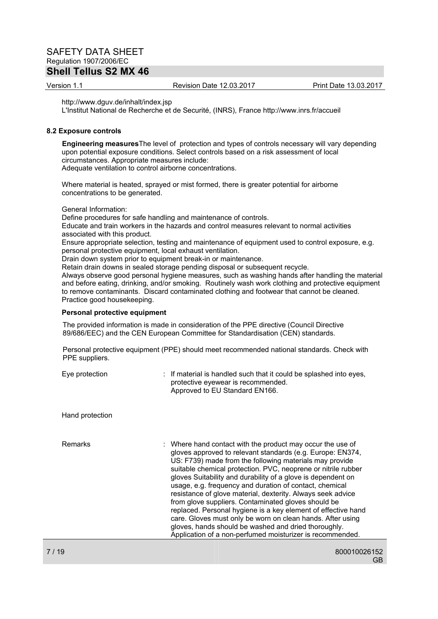# **Shell Tellus S2 MX 46**

Version 1.1 Revision Date 12.03.2017 Print Date 13.03.2017

http://www.dguv.de/inhalt/index.jsp

L'Institut National de Recherche et de Securité, (INRS), France http://www.inrs.fr/accueil

#### **8.2 Exposure controls**

**Engineering measures**The level of protection and types of controls necessary will vary depending upon potential exposure conditions. Select controls based on a risk assessment of local circumstances. Appropriate measures include: Adequate ventilation to control airborne concentrations.

Where material is heated, sprayed or mist formed, there is greater potential for airborne concentrations to be generated.

General Information:

Define procedures for safe handling and maintenance of controls.

Educate and train workers in the hazards and control measures relevant to normal activities associated with this product.

Ensure appropriate selection, testing and maintenance of equipment used to control exposure, e.g. personal protective equipment, local exhaust ventilation.

Drain down system prior to equipment break-in or maintenance.

Retain drain downs in sealed storage pending disposal or subsequent recycle.

Always observe good personal hygiene measures, such as washing hands after handling the material and before eating, drinking, and/or smoking. Routinely wash work clothing and protective equipment to remove contaminants. Discard contaminated clothing and footwear that cannot be cleaned. Practice good housekeeping.

#### **Personal protective equipment**

The provided information is made in consideration of the PPE directive (Council Directive 89/686/EEC) and the CEN European Committee for Standardisation (CEN) standards.

Personal protective equipment (PPE) should meet recommended national standards. Check with PPE suppliers.

| Eye protection  | : If material is handled such that it could be splashed into eyes,<br>protective eyewear is recommended.<br>Approved to EU Standard EN166.                                                                                                                                                                                                                                                                                                                                                                                                                                                                                                                                                                                                                |
|-----------------|-----------------------------------------------------------------------------------------------------------------------------------------------------------------------------------------------------------------------------------------------------------------------------------------------------------------------------------------------------------------------------------------------------------------------------------------------------------------------------------------------------------------------------------------------------------------------------------------------------------------------------------------------------------------------------------------------------------------------------------------------------------|
| Hand protection |                                                                                                                                                                                                                                                                                                                                                                                                                                                                                                                                                                                                                                                                                                                                                           |
| <b>Remarks</b>  | : Where hand contact with the product may occur the use of<br>gloves approved to relevant standards (e.g. Europe: EN374,<br>US: F739) made from the following materials may provide<br>suitable chemical protection. PVC, neoprene or nitrile rubber<br>gloves Suitability and durability of a glove is dependent on<br>usage, e.g. frequency and duration of contact, chemical<br>resistance of glove material, dexterity. Always seek advice<br>from glove suppliers. Contaminated gloves should be<br>replaced. Personal hygiene is a key element of effective hand<br>care. Gloves must only be worn on clean hands. After using<br>gloves, hands should be washed and dried thoroughly.<br>Application of a non-perfumed moisturizer is recommended. |
|                 |                                                                                                                                                                                                                                                                                                                                                                                                                                                                                                                                                                                                                                                                                                                                                           |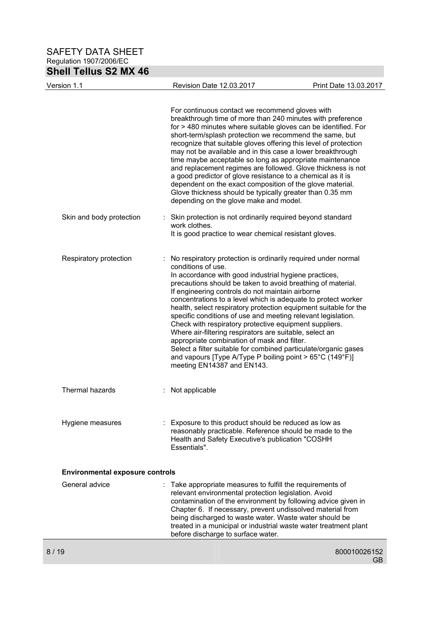| <b>Shell Tellus S2 MX 46</b>           |                                                                                                                                                                                                                                                                                                                                                                                                                                                                                                                                                                                                                                                                                                                                                                                                         |                       |
|----------------------------------------|---------------------------------------------------------------------------------------------------------------------------------------------------------------------------------------------------------------------------------------------------------------------------------------------------------------------------------------------------------------------------------------------------------------------------------------------------------------------------------------------------------------------------------------------------------------------------------------------------------------------------------------------------------------------------------------------------------------------------------------------------------------------------------------------------------|-----------------------|
| Version 1.1                            | Revision Date 12.03.2017                                                                                                                                                                                                                                                                                                                                                                                                                                                                                                                                                                                                                                                                                                                                                                                | Print Date 13.03.2017 |
|                                        | For continuous contact we recommend gloves with<br>breakthrough time of more than 240 minutes with preference<br>for > 480 minutes where suitable gloves can be identified. For<br>short-term/splash protection we recommend the same, but<br>recognize that suitable gloves offering this level of protection<br>may not be available and in this case a lower breakthrough<br>time maybe acceptable so long as appropriate maintenance<br>and replacement regimes are followed. Glove thickness is not<br>a good predictor of glove resistance to a chemical as it is<br>dependent on the exact composition of the glove material.<br>Glove thickness should be typically greater than 0.35 mm<br>depending on the glove make and model.                                                              |                       |
| Skin and body protection               | Skin protection is not ordinarily required beyond standard<br>work clothes.<br>It is good practice to wear chemical resistant gloves.                                                                                                                                                                                                                                                                                                                                                                                                                                                                                                                                                                                                                                                                   |                       |
| Respiratory protection                 | : No respiratory protection is ordinarily required under normal<br>conditions of use.<br>In accordance with good industrial hygiene practices,<br>precautions should be taken to avoid breathing of material.<br>If engineering controls do not maintain airborne<br>concentrations to a level which is adequate to protect worker<br>health, select respiratory protection equipment suitable for the<br>specific conditions of use and meeting relevant legislation.<br>Check with respiratory protective equipment suppliers.<br>Where air-filtering respirators are suitable, select an<br>appropriate combination of mask and filter.<br>Select a filter suitable for combined particulate/organic gases<br>and vapours [Type A/Type P boiling point > 65°C (149°F)]<br>meeting EN14387 and EN143. |                       |
| Thermal hazards                        | Not applicable                                                                                                                                                                                                                                                                                                                                                                                                                                                                                                                                                                                                                                                                                                                                                                                          |                       |
| Hygiene measures                       | Exposure to this product should be reduced as low as<br>reasonably practicable. Reference should be made to the<br>Health and Safety Executive's publication "COSHH<br><b>Essentials"</b> .                                                                                                                                                                                                                                                                                                                                                                                                                                                                                                                                                                                                             |                       |
| <b>Environmental exposure controls</b> |                                                                                                                                                                                                                                                                                                                                                                                                                                                                                                                                                                                                                                                                                                                                                                                                         |                       |
| General advice                         | Take appropriate measures to fulfill the requirements of<br>relevant environmental protection legislation. Avoid<br>contamination of the environment by following advice given in<br>Chapter 6. If necessary, prevent undissolved material from<br>being discharged to waste water. Waste water should be<br>treated in a municipal or industrial waste water treatment plant<br>before discharge to surface water.                                                                                                                                                                                                                                                                                                                                                                                     |                       |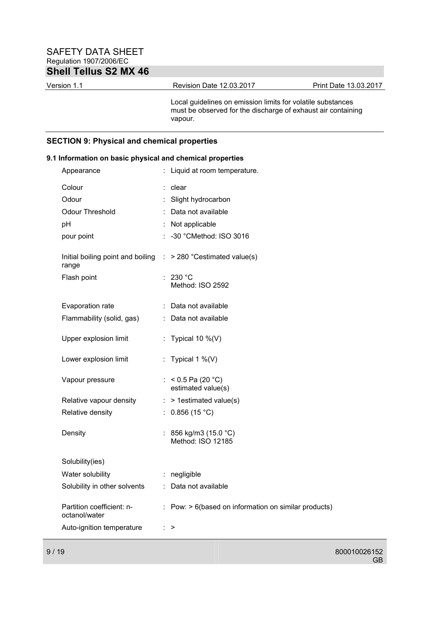| Version 1.1 | Revision Date 12.03.2017 | Print Date 13.03.2017 |
|-------------|--------------------------|-----------------------|
|             |                          |                       |

Local guidelines on emission limits for volatile substances must be observed for the discharge of exhaust air containing vapour.

## **SECTION 9: Physical and chemical properties**

## **9.1 Information on basic physical and chemical properties**

| Appearance                                                                                                                 |          | Liquid at room temperature.                                                                                                                            |
|----------------------------------------------------------------------------------------------------------------------------|----------|--------------------------------------------------------------------------------------------------------------------------------------------------------|
| Colour<br>Odour<br><b>Odour Threshold</b><br>pH<br>pour point<br>Initial boiling point and boiling<br>range<br>Flash point | ÷.<br>÷. | clear<br>Slight hydrocarbon<br>: Data not available<br>Not applicable<br>-30 °CMethod: ISO 3016<br>$\therefore$ > 280 °Cestimated value(s)<br>: 230 °C |
| Evaporation rate                                                                                                           |          | Method: ISO 2592<br>: Data not available                                                                                                               |
| Flammability (solid, gas)                                                                                                  |          | : Data not available                                                                                                                                   |
| Upper explosion limit                                                                                                      |          | : Typical 10 $\%$ (V)                                                                                                                                  |
| Lower explosion limit                                                                                                      |          | : Typical 1 $\%$ (V)                                                                                                                                   |
| Vapour pressure                                                                                                            |          | : $< 0.5$ Pa (20 °C)<br>estimated value(s)                                                                                                             |
| Relative vapour density                                                                                                    |          | $:$ > 1 estimated value(s)                                                                                                                             |
| Relative density                                                                                                           | ÷.       | 0.856(15 °C)                                                                                                                                           |
| Density                                                                                                                    | ÷.       | 856 kg/m3 (15.0 °C)<br>Method: ISO 12185                                                                                                               |
| Solubility(ies)                                                                                                            |          |                                                                                                                                                        |
| Water solubility                                                                                                           |          | : negligible                                                                                                                                           |
| Solubility in other solvents                                                                                               | ÷.       | Data not available                                                                                                                                     |
| Partition coefficient: n-<br>octanol/water                                                                                 |          | $\therefore$ Pow: $> 6$ (based on information on similar products)                                                                                     |
| Auto-ignition temperature                                                                                                  |          | $\therefore$ >                                                                                                                                         |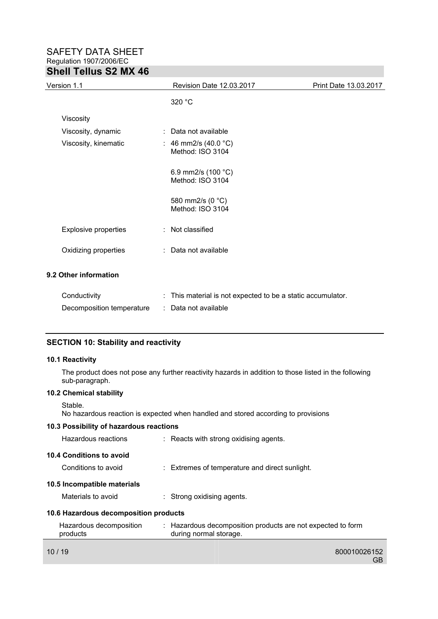| Version 1.1                 | Revision Date 12.03.2017                              | Print Date 13.03.2017 |  |
|-----------------------------|-------------------------------------------------------|-----------------------|--|
|                             | 320 °C                                                |                       |  |
| Viscosity                   |                                                       |                       |  |
| Viscosity, dynamic          | : Data not available                                  |                       |  |
| Viscosity, kinematic        | : 46 mm2/s (40.0 $^{\circ}$ C)<br>Method: ISO 3104    |                       |  |
|                             | 6.9 mm2/s (100 $°C$ )<br>Method: ISO 3104             |                       |  |
|                             | 580 mm2/s (0 °C)<br>Method: ISO 3104                  |                       |  |
| <b>Explosive properties</b> | : Not classified                                      |                       |  |
| Oxidizing properties        | : Data not available                                  |                       |  |
| 9.2 Other information       |                                                       |                       |  |
|                             | 天下 きょうしょう きょうきょう しょうしょう しょうしょうしょう しょうしょうしょう しょうしょうしょう |                       |  |

| Conductivity              | This material is not expected to be a static accumulator. |
|---------------------------|-----------------------------------------------------------|
| Decomposition temperature | : Data not available                                      |

## **SECTION 10: Stability and reactivity**

### **10.1 Reactivity**

The product does not pose any further reactivity hazards in addition to those listed in the following sub-paragraph.

# **10.2 Chemical stability**

Stable.

No hazardous reaction is expected when handled and stored according to provisions

## **10.3 Possibility of hazardous reactions**

|       | Hazardous reactions                   | : Reacts with strong oxidising agents.                                                |
|-------|---------------------------------------|---------------------------------------------------------------------------------------|
|       | 10.4 Conditions to avoid              |                                                                                       |
|       | Conditions to avoid                   | $\therefore$ Extremes of temperature and direct sunlight.                             |
|       | 10.5 Incompatible materials           |                                                                                       |
|       | Materials to avoid                    | : Strong oxidising agents.                                                            |
|       | 10.6 Hazardous decomposition products |                                                                                       |
|       | Hazardous decomposition<br>products   | : Hazardous decomposition products are not expected to form<br>during normal storage. |
| 10/19 |                                       | 800010026152<br>GB                                                                    |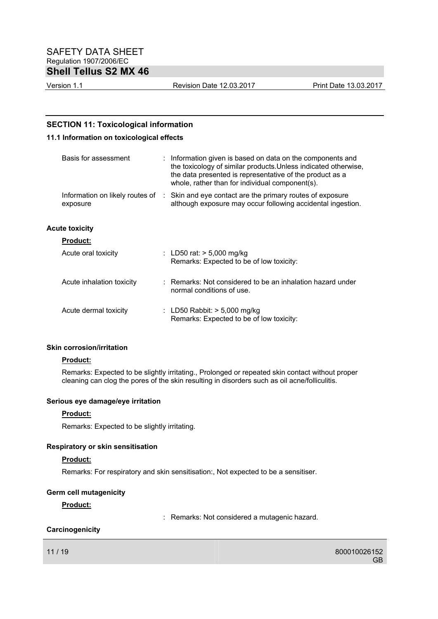Version 1.1 Revision Date 12.03.2017 Print Date 13.03.2017

## **SECTION 11: Toxicological information**

## **11.1 Information on toxicological effects**

| Basis for assessment                        | $\therefore$ Information given is based on data on the components and<br>the toxicology of similar products. Unless indicated otherwise,<br>the data presented is representative of the product as a<br>whole, rather than for individual component(s). |
|---------------------------------------------|---------------------------------------------------------------------------------------------------------------------------------------------------------------------------------------------------------------------------------------------------------|
| Information on likely routes of<br>exposure | : Skin and eye contact are the primary routes of exposure<br>although exposure may occur following accidental ingestion.                                                                                                                                |
| <b>Acute toxicity</b>                       |                                                                                                                                                                                                                                                         |
| <b>Product:</b>                             |                                                                                                                                                                                                                                                         |
| Acute oral toxicity                         | : LD50 rat: $> 5,000$ mg/kg<br>Remarks: Expected to be of low toxicity:                                                                                                                                                                                 |
| Acute inhalation toxicity                   | $\therefore$ Remarks: Not considered to be an inhalation hazard under<br>normal conditions of use.                                                                                                                                                      |
| Acute dermal toxicity                       | : LD50 Rabbit: $>$ 5,000 mg/kg<br>Remarks: Expected to be of low toxicity:                                                                                                                                                                              |

#### **Skin corrosion/irritation**

#### **Product:**

Remarks: Expected to be slightly irritating., Prolonged or repeated skin contact without proper cleaning can clog the pores of the skin resulting in disorders such as oil acne/folliculitis.

#### **Serious eye damage/eye irritation**

### **Product:**

Remarks: Expected to be slightly irritating.

## **Respiratory or skin sensitisation**

### **Product:**

Remarks: For respiratory and skin sensitisation:, Not expected to be a sensitiser.

### **Germ cell mutagenicity**

### **Product:**

: Remarks: Not considered a mutagenic hazard.

## **Carcinogenicity**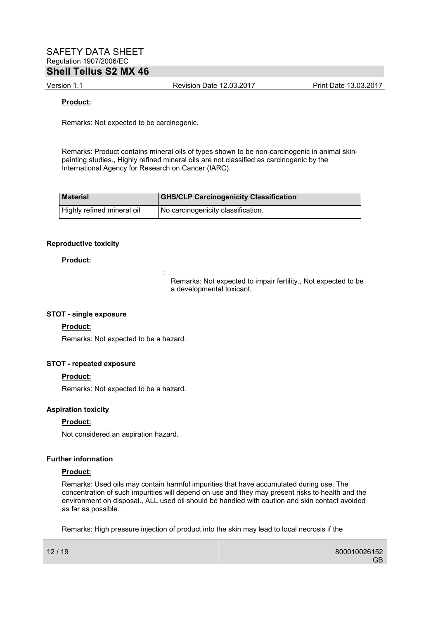Version 1.1 Revision Date 12.03.2017 Print Date 13.03.2017

#### **Product:**

Remarks: Not expected to be carcinogenic.

Remarks: Product contains mineral oils of types shown to be non-carcinogenic in animal skinpainting studies., Highly refined mineral oils are not classified as carcinogenic by the International Agency for Research on Cancer (IARC).

| <b>Material</b>            | <b>GHS/CLP Carcinogenicity Classification</b> |
|----------------------------|-----------------------------------------------|
| Highly refined mineral oil | I No carcinogenicity classification.          |

#### **Reproductive toxicity**

#### **Product:**

Remarks: Not expected to impair fertility., Not expected to be a developmental toxicant.

#### **STOT - single exposure**

#### **Product:**

Remarks: Not expected to be a hazard.

**Service State State State State** 

#### **STOT - repeated exposure**

### **Product:**

Remarks: Not expected to be a hazard.

#### **Aspiration toxicity**

### **Product:**

Not considered an aspiration hazard.

#### **Further information**

#### **Product:**

Remarks: Used oils may contain harmful impurities that have accumulated during use. The concentration of such impurities will depend on use and they may present risks to health and the environment on disposal., ALL used oil should be handled with caution and skin contact avoided as far as possible.

Remarks: High pressure injection of product into the skin may lead to local necrosis if the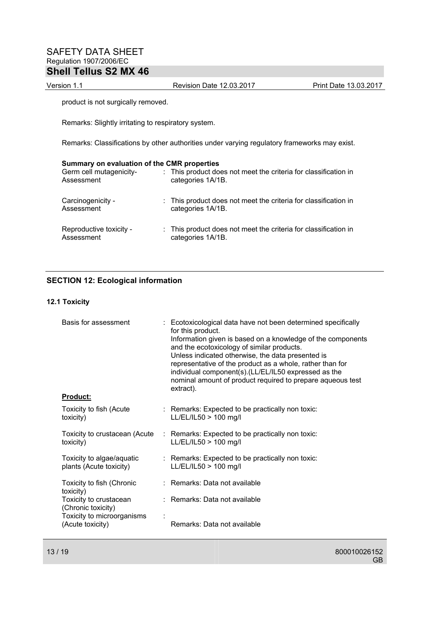Version 1.1 Revision Date 12.03.2017 Print Date 13.03.2017

product is not surgically removed.

Remarks: Slightly irritating to respiratory system.

Remarks: Classifications by other authorities under varying regulatory frameworks may exist.

| Summary on evaluation of the CMR properties<br>Germ cell mutagenicity-<br>Assessment | : This product does not meet the criteria for classification in<br>categories 1A/1B. |
|--------------------------------------------------------------------------------------|--------------------------------------------------------------------------------------|
| Carcinogenicity -<br>Assessment                                                      | : This product does not meet the criteria for classification in<br>categories 1A/1B. |
| Reproductive toxicity -<br>Assessment                                                | : This product does not meet the criteria for classification in<br>categories 1A/1B. |

## **SECTION 12: Ecological information**

## **12.1 Toxicity**

| Basis for assessment<br>Product:                     | : Ecotoxicological data have not been determined specifically<br>for this product.<br>Information given is based on a knowledge of the components<br>and the ecotoxicology of similar products.<br>Unless indicated otherwise, the data presented is<br>representative of the product as a whole, rather than for<br>individual component(s).(LL/EL/IL50 expressed as the<br>nominal amount of product required to prepare aqueous test<br>extract). |
|------------------------------------------------------|------------------------------------------------------------------------------------------------------------------------------------------------------------------------------------------------------------------------------------------------------------------------------------------------------------------------------------------------------------------------------------------------------------------------------------------------------|
| Toxicity to fish (Acute<br>toxicity)                 | $\therefore$ Remarks: Expected to be practically non toxic:<br>LL/EL/IL50 > 100 mg/l                                                                                                                                                                                                                                                                                                                                                                 |
| Toxicity to crustacean (Acute<br>toxicity)           | $\therefore$ Remarks: Expected to be practically non toxic:<br>LL/EL/IL50 > 100 mg/l                                                                                                                                                                                                                                                                                                                                                                 |
| Toxicity to algae/aquatic<br>plants (Acute toxicity) | : Remarks: Expected to be practically non toxic:<br>LL/EL/IL50 > 100 mg/l                                                                                                                                                                                                                                                                                                                                                                            |
| Toxicity to fish (Chronic<br>toxicity)               | : Remarks: Data not available                                                                                                                                                                                                                                                                                                                                                                                                                        |
| Toxicity to crustacean<br>(Chronic toxicity)         | : Remarks: Data not available                                                                                                                                                                                                                                                                                                                                                                                                                        |
| Toxicity to microorganisms<br>(Acute toxicity)       | Remarks: Data not available                                                                                                                                                                                                                                                                                                                                                                                                                          |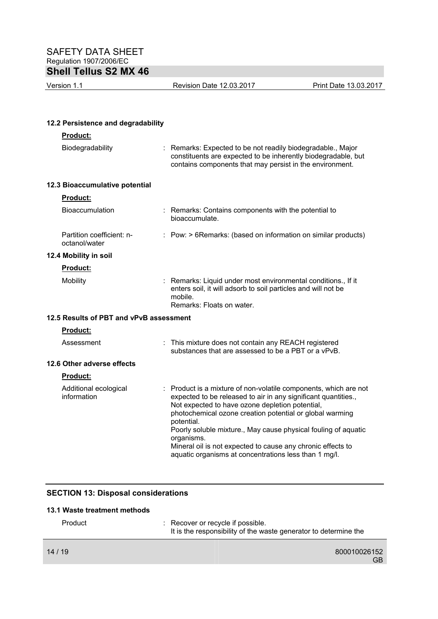Version 1.1 Revision Date 12.03.2017 Print Date 13.03.2017

## **12.2 Persistence and degradability**

| Product:                                   |                                                                                                                                                                                                                                                                                                                                                                                                                                                                         |
|--------------------------------------------|-------------------------------------------------------------------------------------------------------------------------------------------------------------------------------------------------------------------------------------------------------------------------------------------------------------------------------------------------------------------------------------------------------------------------------------------------------------------------|
| Biodegradability                           | : Remarks: Expected to be not readily biodegradable., Major<br>constituents are expected to be inherently biodegradable, but<br>contains components that may persist in the environment.                                                                                                                                                                                                                                                                                |
| 12.3 Bioaccumulative potential             |                                                                                                                                                                                                                                                                                                                                                                                                                                                                         |
| <b>Product:</b>                            |                                                                                                                                                                                                                                                                                                                                                                                                                                                                         |
| Bioaccumulation                            | : Remarks: Contains components with the potential to<br>bioaccumulate.                                                                                                                                                                                                                                                                                                                                                                                                  |
| Partition coefficient: n-<br>octanol/water | : Pow: > 6Remarks: (based on information on similar products)                                                                                                                                                                                                                                                                                                                                                                                                           |
| 12.4 Mobility in soil                      |                                                                                                                                                                                                                                                                                                                                                                                                                                                                         |
| <b>Product:</b>                            |                                                                                                                                                                                                                                                                                                                                                                                                                                                                         |
| Mobility                                   | : Remarks: Liquid under most environmental conditions., If it<br>enters soil, it will adsorb to soil particles and will not be<br>mobile.<br>Remarks: Floats on water.                                                                                                                                                                                                                                                                                                  |
| 12.5 Results of PBT and vPvB assessment    |                                                                                                                                                                                                                                                                                                                                                                                                                                                                         |
| Product:                                   |                                                                                                                                                                                                                                                                                                                                                                                                                                                                         |
| Assessment                                 | : This mixture does not contain any REACH registered<br>substances that are assessed to be a PBT or a vPvB.                                                                                                                                                                                                                                                                                                                                                             |
| 12.6 Other adverse effects                 |                                                                                                                                                                                                                                                                                                                                                                                                                                                                         |
| Product:                                   |                                                                                                                                                                                                                                                                                                                                                                                                                                                                         |
| Additional ecological<br>information       | : Product is a mixture of non-volatile components, which are not<br>expected to be released to air in any significant quantities.,<br>Not expected to have ozone depletion potential,<br>photochemical ozone creation potential or global warming<br>potential.<br>Poorly soluble mixture., May cause physical fouling of aquatic<br>organisms.<br>Mineral oil is not expected to cause any chronic effects to<br>aquatic organisms at concentrations less than 1 mg/l. |

# **SECTION 13: Disposal considerations**

## **13.1 Waste treatment methods**

| Product | : Recover or recycle if possible.<br>It is the responsibility of the waste generator to determine the |
|---------|-------------------------------------------------------------------------------------------------------|
| 14/19   | 800010026152<br>GB.                                                                                   |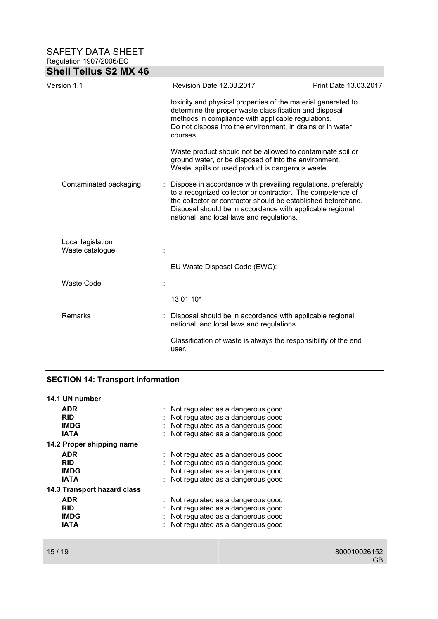| <b>Shell Tellus S2 MX 46</b>         |                                                                                                                                                                                                                                                                                                         |                       |
|--------------------------------------|---------------------------------------------------------------------------------------------------------------------------------------------------------------------------------------------------------------------------------------------------------------------------------------------------------|-----------------------|
| Version 1.1                          | Revision Date 12.03.2017                                                                                                                                                                                                                                                                                | Print Date 13.03.2017 |
|                                      | toxicity and physical properties of the material generated to<br>determine the proper waste classification and disposal<br>methods in compliance with applicable regulations.<br>Do not dispose into the environment, in drains or in water<br>courses                                                  |                       |
|                                      | Waste product should not be allowed to contaminate soil or<br>ground water, or be disposed of into the environment.<br>Waste, spills or used product is dangerous waste.                                                                                                                                |                       |
| Contaminated packaging               | Dispose in accordance with prevailing regulations, preferably<br>to a recognized collector or contractor. The competence of<br>the collector or contractor should be established beforehand.<br>Disposal should be in accordance with applicable regional,<br>national, and local laws and regulations. |                       |
| Local legislation<br>Waste catalogue |                                                                                                                                                                                                                                                                                                         |                       |
|                                      | EU Waste Disposal Code (EWC):                                                                                                                                                                                                                                                                           |                       |
| Waste Code                           |                                                                                                                                                                                                                                                                                                         |                       |
|                                      | 13 01 10*                                                                                                                                                                                                                                                                                               |                       |
| Remarks                              | Disposal should be in accordance with applicable regional,<br>national, and local laws and regulations.                                                                                                                                                                                                 |                       |
|                                      | Classification of waste is always the responsibility of the end<br>user.                                                                                                                                                                                                                                |                       |

# **SECTION 14: Transport information**

| 14.1 UN number                     |                                     |
|------------------------------------|-------------------------------------|
| <b>ADR</b>                         | : Not regulated as a dangerous good |
| <b>RID</b>                         | Not regulated as a dangerous good   |
| <b>IMDG</b>                        | Not regulated as a dangerous good   |
| <b>IATA</b>                        | : Not regulated as a dangerous good |
| 14.2 Proper shipping name          |                                     |
| <b>ADR</b>                         | : Not regulated as a dangerous good |
| <b>RID</b>                         | Not regulated as a dangerous good   |
| <b>IMDG</b>                        | Not regulated as a dangerous good   |
| <b>IATA</b>                        | Not regulated as a dangerous good   |
| <b>14.3 Transport hazard class</b> |                                     |
| <b>ADR</b>                         | : Not regulated as a dangerous good |
| <b>RID</b>                         | Not regulated as a dangerous good   |
| <b>IMDG</b>                        | Not regulated as a dangerous good   |
| IATA                               | Not regulated as a dangerous good   |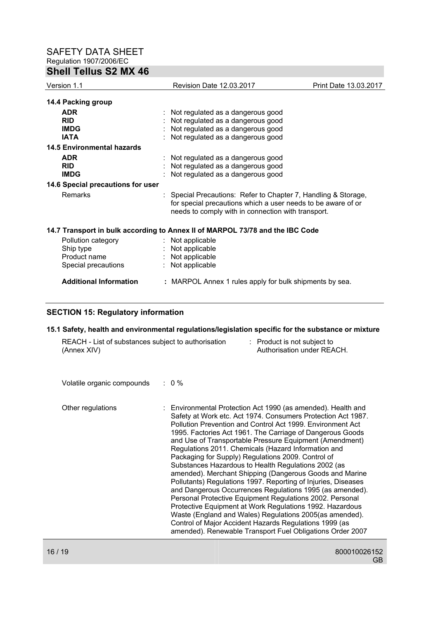## **Shell Tellus S2 MX 46**

| Version 1.1                       | Revision Date 12.03.2017                                                                                                                                                             | Print Date 13.03.2017 |
|-----------------------------------|--------------------------------------------------------------------------------------------------------------------------------------------------------------------------------------|-----------------------|
| 14.4 Packing group                |                                                                                                                                                                                      |                       |
| <b>ADR</b>                        | : Not regulated as a dangerous good                                                                                                                                                  |                       |
| <b>RID</b>                        | Not regulated as a dangerous good                                                                                                                                                    |                       |
| <b>IMDG</b>                       | Not regulated as a dangerous good                                                                                                                                                    |                       |
| <b>IATA</b>                       | Not regulated as a dangerous good                                                                                                                                                    |                       |
| <b>14.5 Environmental hazards</b> |                                                                                                                                                                                      |                       |
| <b>ADR</b>                        | : Not regulated as a dangerous good                                                                                                                                                  |                       |
| <b>RID</b>                        | Not regulated as a dangerous good                                                                                                                                                    |                       |
| <b>IMDG</b>                       | Not regulated as a dangerous good                                                                                                                                                    |                       |
| 14.6 Special precautions for user |                                                                                                                                                                                      |                       |
| <b>Remarks</b>                    | : Special Precautions: Refer to Chapter 7, Handling & Storage,<br>for special precautions which a user needs to be aware of or<br>needs to comply with in connection with transport. |                       |
|                                   | 14.7 Transport in bulk according to Annex II of MARPOL 73/78 and the IBC Code                                                                                                        |                       |
| Pollution category                | : Not applicable                                                                                                                                                                     |                       |
| Ship type                         | Not applicable                                                                                                                                                                       |                       |
| Product name                      | : Not applicable                                                                                                                                                                     |                       |
| Special precautions               | Not applicable<br>÷.                                                                                                                                                                 |                       |
| <b>Additional Information</b>     | : MARPOL Annex 1 rules apply for bulk shipments by sea.                                                                                                                              |                       |

## **SECTION 15: Regulatory information**

#### **15.1 Safety, health and environmental regulations/legislation specific for the substance or mixture**

| REACH - List of substances subject to authorisation |  | : Product is not subject to |
|-----------------------------------------------------|--|-----------------------------|
| (Annex XIV)                                         |  | Authorisation under REACH.  |

Volatile organic compounds : 0 %

Other regulations : Environmental Protection Act 1990 (as amended). Health and Safety at Work etc. Act 1974. Consumers Protection Act 1987. Pollution Prevention and Control Act 1999. Environment Act 1995. Factories Act 1961. The Carriage of Dangerous Goods and Use of Transportable Pressure Equipment (Amendment) Regulations 2011. Chemicals (Hazard Information and Packaging for Supply) Regulations 2009. Control of Substances Hazardous to Health Regulations 2002 (as amended). Merchant Shipping (Dangerous Goods and Marine Pollutants) Regulations 1997. Reporting of Injuries, Diseases and Dangerous Occurrences Regulations 1995 (as amended). Personal Protective Equipment Regulations 2002. Personal Protective Equipment at Work Regulations 1992. Hazardous Waste (England and Wales) Regulations 2005(as amended). Control of Major Accident Hazards Regulations 1999 (as amended). Renewable Transport Fuel Obligations Order 2007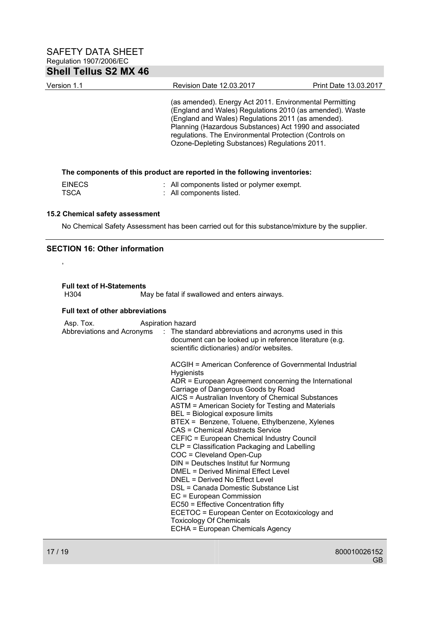| Version 1.1                                                               | Revision Date 12.03.2017                                                                                                                                                                                                                                                                                                                        | Print Date 13.03.2017 |  |  |
|---------------------------------------------------------------------------|-------------------------------------------------------------------------------------------------------------------------------------------------------------------------------------------------------------------------------------------------------------------------------------------------------------------------------------------------|-----------------------|--|--|
|                                                                           | (as amended). Energy Act 2011. Environmental Permitting<br>(England and Wales) Regulations 2010 (as amended). Waste<br>(England and Wales) Regulations 2011 (as amended).<br>Planning (Hazardous Substances) Act 1990 and associated<br>regulations. The Environmental Protection (Controls on<br>Ozone-Depleting Substances) Regulations 2011. |                       |  |  |
| The components of this product are reported in the following inventories: |                                                                                                                                                                                                                                                                                                                                                 |                       |  |  |

| <b>EINECS</b> | : All components listed or polymer exempt. |
|---------------|--------------------------------------------|
| TSCA          | : All components listed.                   |

## **15.2 Chemical safety assessment**

No Chemical Safety Assessment has been carried out for this substance/mixture by the supplier.

## **SECTION 16: Other information**

,

**Full text of H-Statements** 

May be fatal if swallowed and enters airways.

### **Full text of other abbreviations**

| Asp. Tox. | Aspiration hazard                                                                                                                                                                         |
|-----------|-------------------------------------------------------------------------------------------------------------------------------------------------------------------------------------------|
|           | Abbreviations and Acronyms : The standard abbreviations and acronyms used in this<br>document can be looked up in reference literature (e.g.<br>scientific dictionaries) and/or websites. |
|           | ACGIH = American Conference of Governmental Industrial<br><b>Hygienists</b>                                                                                                               |
|           | ADR = European Agreement concerning the International<br>Carriage of Dangerous Goods by Road                                                                                              |
|           | AICS = Australian Inventory of Chemical Substances<br>ASTM = American Society for Testing and Materials                                                                                   |
|           | BEL = Biological exposure limits                                                                                                                                                          |
|           | BTEX = Benzene, Toluene, Ethylbenzene, Xylenes                                                                                                                                            |
|           | CAS = Chemical Abstracts Service                                                                                                                                                          |
|           | CEFIC = European Chemical Industry Council                                                                                                                                                |
|           | CLP = Classification Packaging and Labelling                                                                                                                                              |
|           | COC = Cleveland Open-Cup                                                                                                                                                                  |
|           | DIN = Deutsches Institut fur Normung                                                                                                                                                      |
|           | DMEL = Derived Minimal Effect Level                                                                                                                                                       |
|           | DNEL = Derived No Effect Level                                                                                                                                                            |
|           | DSL = Canada Domestic Substance List                                                                                                                                                      |
|           | EC = European Commission                                                                                                                                                                  |
|           | EC50 = Effective Concentration fifty                                                                                                                                                      |
|           | ECETOC = European Center on Ecotoxicology and                                                                                                                                             |
|           | <b>Toxicology Of Chemicals</b>                                                                                                                                                            |
|           | ECHA = European Chemicals Agency                                                                                                                                                          |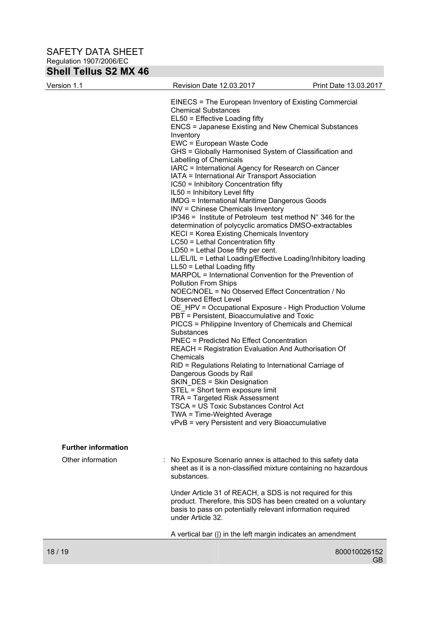| <b>SHEIL LEILUS SZ MIX 46</b> |                                                                                                        |                       |
|-------------------------------|--------------------------------------------------------------------------------------------------------|-----------------------|
| Version 1.1                   | Revision Date 12.03.2017                                                                               | Print Date 13.03.2017 |
|                               | EINECS = The European Inventory of Existing Commercial                                                 |                       |
|                               | <b>Chemical Substances</b>                                                                             |                       |
|                               | EL50 = Effective Loading fifty                                                                         |                       |
|                               | <b>ENCS = Japanese Existing and New Chemical Substances</b>                                            |                       |
|                               | Inventory                                                                                              |                       |
|                               | EWC = European Waste Code                                                                              |                       |
|                               | GHS = Globally Harmonised System of Classification and                                                 |                       |
|                               | Labelling of Chemicals                                                                                 |                       |
|                               | IARC = International Agency for Research on Cancer                                                     |                       |
|                               | IATA = International Air Transport Association                                                         |                       |
|                               | IC50 = Inhibitory Concentration fifty                                                                  |                       |
|                               | IL50 = Inhibitory Level fifty                                                                          |                       |
|                               | <b>IMDG = International Maritime Dangerous Goods</b>                                                   |                       |
|                               | INV = Chinese Chemicals Inventory                                                                      |                       |
|                               | IP346 = Institute of Petroleum test method $N^{\circ}$ 346 for the                                     |                       |
|                               | determination of polycyclic aromatics DMSO-extractables                                                |                       |
|                               | KECI = Korea Existing Chemicals Inventory                                                              |                       |
|                               | LC50 = Lethal Concentration fifty                                                                      |                       |
|                               | $LD50 = Lethal Does fifty per cent.$<br>LL/EL/IL = Lethal Loading/Effective Loading/Inhibitory loading |                       |
|                               | $LL50 = Lethal$ Loading fifty                                                                          |                       |
|                               | MARPOL = International Convention for the Prevention of                                                |                       |
|                               | <b>Pollution From Ships</b>                                                                            |                       |
|                               | NOEC/NOEL = No Observed Effect Concentration / No                                                      |                       |
|                               | <b>Observed Effect Level</b>                                                                           |                       |
|                               | OE_HPV = Occupational Exposure - High Production Volume                                                |                       |
|                               | PBT = Persistent, Bioaccumulative and Toxic                                                            |                       |
|                               | PICCS = Philippine Inventory of Chemicals and Chemical                                                 |                       |
|                               | Substances                                                                                             |                       |
|                               | <b>PNEC = Predicted No Effect Concentration</b>                                                        |                       |
|                               | <b>REACH = Registration Evaluation And Authorisation Of</b>                                            |                       |
|                               | Chemicals                                                                                              |                       |
|                               | RID = Regulations Relating to International Carriage of                                                |                       |
|                               | Dangerous Goods by Rail                                                                                |                       |
|                               | SKIN_DES = Skin Designation                                                                            |                       |
|                               | STEL = Short term exposure limit                                                                       |                       |
|                               | TRA = Targeted Risk Assessment                                                                         |                       |
|                               | <b>TSCA = US Toxic Substances Control Act</b><br>TWA = Time-Weighted Average                           |                       |
|                               | vPvB = very Persistent and very Bioaccumulative                                                        |                       |
|                               |                                                                                                        |                       |
| <b>Further information</b>    |                                                                                                        |                       |
| Other information             | No Exposure Scenario annex is attached to this safety data                                             |                       |

| : No Exposure Scenario annex is attached to this safety data    |
|-----------------------------------------------------------------|
| sheet as it is a non-classified mixture containing no hazardous |
| substances.                                                     |

 Under Article 31 of REACH, a SDS is not required for this product. Therefore, this SDS has been created on a voluntary basis to pass on potentially relevant information required under Article 32.

A vertical bar (|) in the left margin indicates an amendment